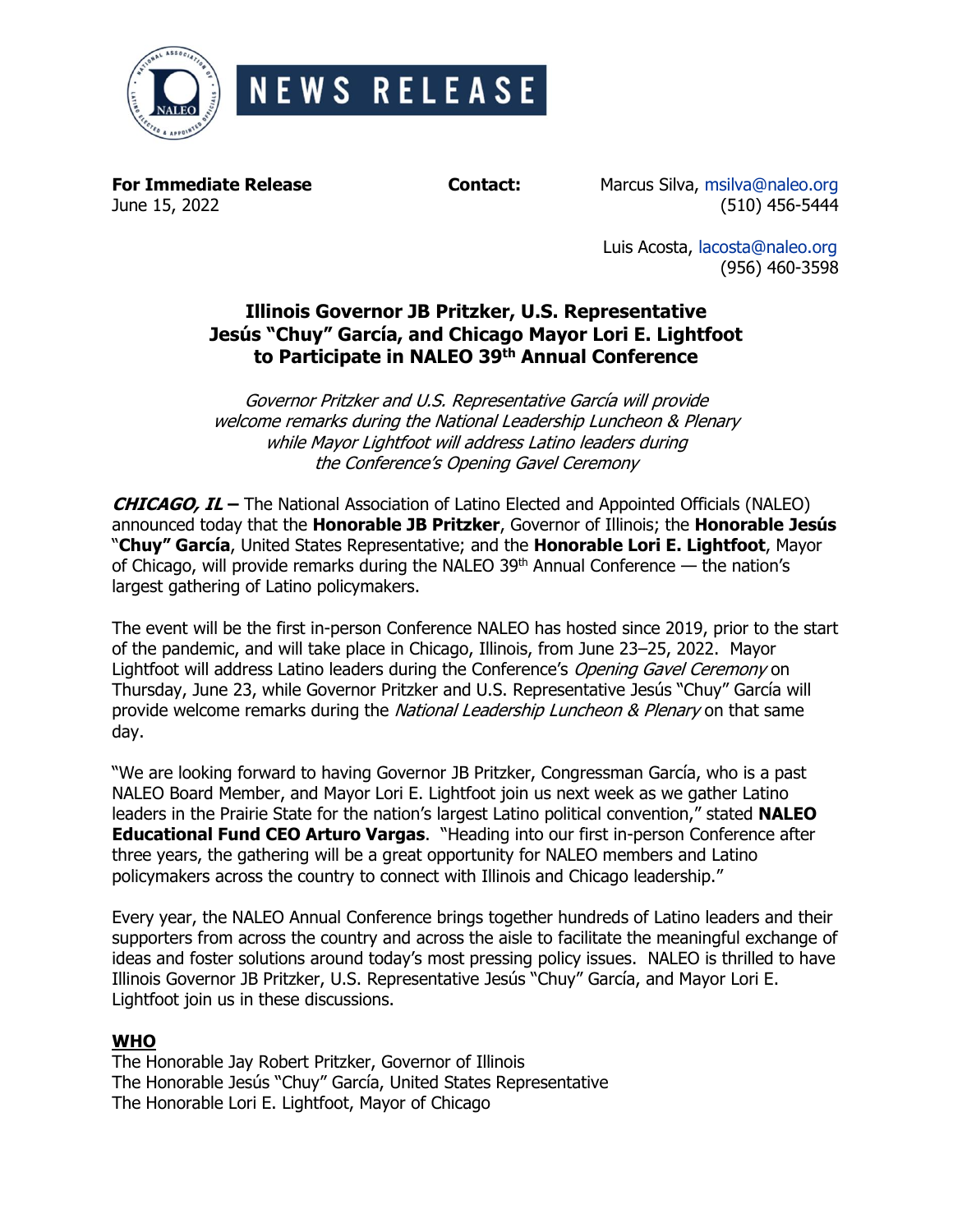

**For Immediate Release Contact:** Marcus Silva, [msilva@naleo.org](mailto:msilva@naleo.org) June 15, 2022 (510) 456-5444

> Luis Acosta, [lacosta@naleo.org](mailto:lacosta@naleo.org) (956) 460-3598

# **Illinois Governor JB Pritzker, U.S. Representative Jesús "Chuy" García, and Chicago Mayor Lori E. Lightfoot to Participate in NALEO 39 th Annual Conference**

Governor Pritzker and U.S. Representative García will provide welcome remarks during the National Leadership Luncheon & Plenary while Mayor Lightfoot will address Latino leaders during the Conference's Opening Gavel Ceremony

**CHICAGO, IL –** The National Association of Latino Elected and Appointed Officials (NALEO) announced today that the **Honorable JB Pritzker**, Governor of Illinois; the **Honorable Jesús** "**Chuy" García**, United States Representative; and the **Honorable Lori E. Lightfoot**, Mayor of Chicago, will provide remarks during the NALEO 39<sup>th</sup> Annual Conference  $-$  the nation's largest gathering of Latino policymakers.

The event will be the first in-person Conference NALEO has hosted since 2019, prior to the start of the pandemic, and will take place in Chicago, Illinois, from June 23–25, 2022. Mayor Lightfoot will address Latino leaders during the Conference's Opening Gavel Ceremony on Thursday, June 23, while Governor Pritzker and U.S. Representative Jesús "Chuy" García will provide welcome remarks during the National Leadership Luncheon & Plenary on that same day.

"We are looking forward to having Governor JB Pritzker, Congressman García, who is a past NALEO Board Member, and Mayor Lori E. Lightfoot join us next week as we gather Latino leaders in the Prairie State for the nation's largest Latino political convention," stated **NALEO Educational Fund CEO Arturo Vargas**. "Heading into our first in-person Conference after three years, the gathering will be a great opportunity for NALEO members and Latino policymakers across the country to connect with Illinois and Chicago leadership."

Every year, the NALEO Annual Conference brings together hundreds of Latino leaders and their supporters from across the country and across the aisle to facilitate the meaningful exchange of ideas and foster solutions around today's most pressing policy issues. NALEO is thrilled to have Illinois Governor JB Pritzker, U.S. Representative Jesús "Chuy" García, and Mayor Lori E. Lightfoot join us in these discussions.

## **WHO**

The Honorable Jay Robert Pritzker, Governor of Illinois The Honorable Jesús "Chuy" García, United States Representative The Honorable Lori E. Lightfoot, Mayor of Chicago